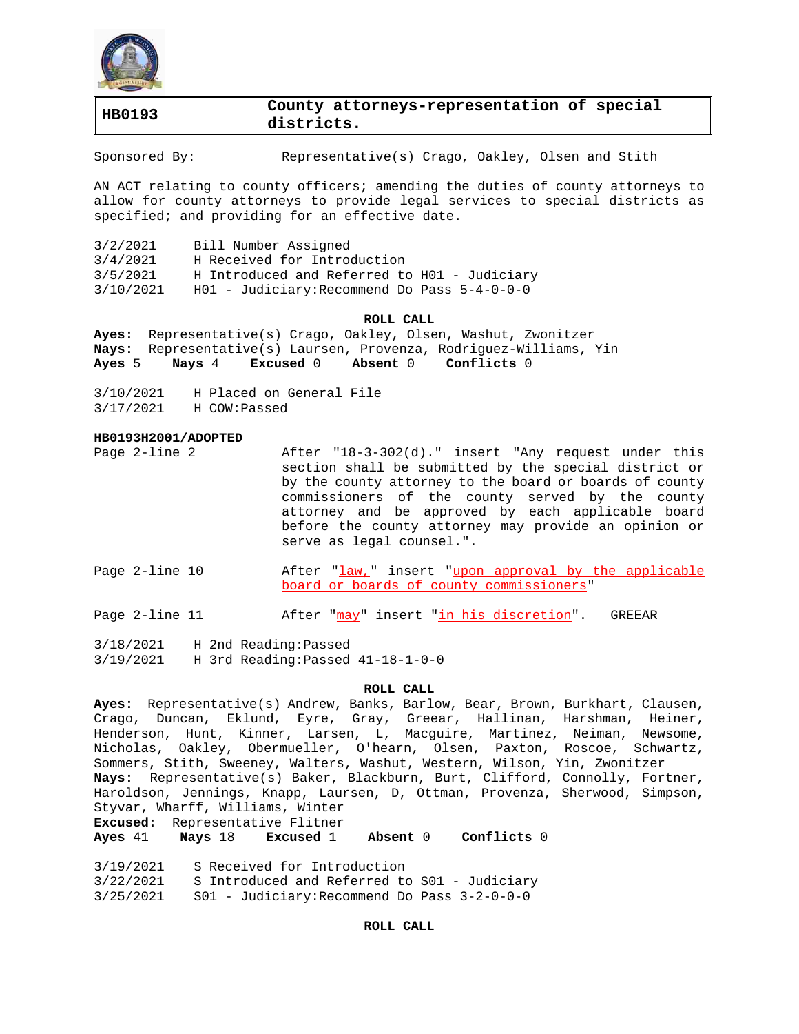

# **HB0193 County attorneys-representation of special districts.**

Sponsored By: Representative(s) Crago, Oakley, Olsen and Stith

AN ACT relating to county officers; amending the duties of county attorneys to allow for county attorneys to provide legal services to special districts as specified; and providing for an effective date.

| 3/2/2021  | Bill Number Assigned                             |
|-----------|--------------------------------------------------|
| 3/4/2021  | H Received for Introduction                      |
| 3/5/2021  | H Introduced and Referred to H01 - Judiciary     |
| 3/10/2021 | $H01$ - Judiciary: Recommend Do Pass $5-4-0-0-0$ |

### **ROLL CALL**

**Ayes:** Representative(s) Crago, Oakley, Olsen, Washut, Zwonitzer **Nays:** Representative(s) Laursen, Provenza, Rodriguez-Williams, Yin **Ayes** 5 **Nays** 4 **Excused** 0 **Absent** 0 **Conflicts** 0

3/10/2021 H Placed on General File 3/17/2021 H COW:Passed

#### **HB0193H2001/ADOPTED**

- Page 2-line 2 After "18-3-302(d)." insert "Any request under this section shall be submitted by the special district or by the county attorney to the board or boards of county commissioners of the county served by the county attorney and be approved by each applicable board before the county attorney may provide an opinion or serve as legal counsel.".
- Page 2-line 10 After "law," insert "upon approval by the applicable board or boards of county commissioners"
- Page 2-line 11 After "may" insert "in his discretion". GREEAR

3/18/2021 H 2nd Reading:Passed 3/19/2021 H 3rd Reading:Passed 41-18-1-0-0

#### **ROLL CALL**

**Ayes:** Representative(s) Andrew, Banks, Barlow, Bear, Brown, Burkhart, Clausen, Crago, Duncan, Eklund, Eyre, Gray, Greear, Hallinan, Harshman, Heiner, Henderson, Hunt, Kinner, Larsen, L, Macguire, Martinez, Neiman, Newsome, Nicholas, Oakley, Obermueller, O'hearn, Olsen, Paxton, Roscoe, Schwartz, Sommers, Stith, Sweeney, Walters, Washut, Western, Wilson, Yin, Zwonitzer **Nays:** Representative(s) Baker, Blackburn, Burt, Clifford, Connolly, Fortner, Haroldson, Jennings, Knapp, Laursen, D, Ottman, Provenza, Sherwood, Simpson, Styvar, Wharff, Williams, Winter

**Excused:** Representative Flitner

**Ayes** 41 **Nays** 18 **Excused** 1 **Absent** 0 **Conflicts** 0

3/19/2021 S Received for Introduction

3/22/2021 S Introduced and Referred to S01 - Judiciary

3/25/2021 S01 - Judiciary:Recommend Do Pass 3-2-0-0-0